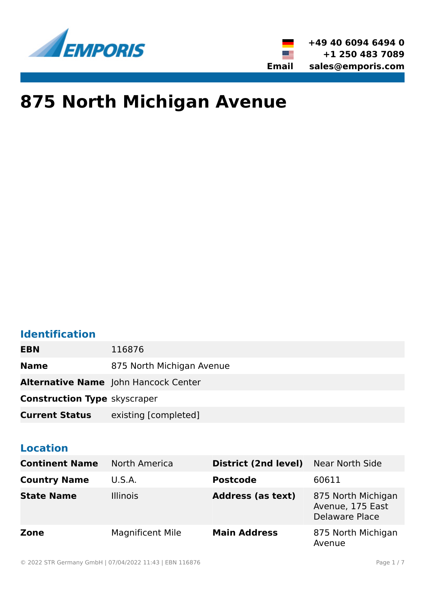



# **875 North Michigan Avenue**

# **Identification**

| <b>EBN</b>                          | 116876                                      |
|-------------------------------------|---------------------------------------------|
| <b>Name</b>                         | 875 North Michigan Avenue                   |
|                                     | <b>Alternative Name</b> John Hancock Center |
| <b>Construction Type skyscraper</b> |                                             |
| <b>Current Status</b>               | existing [completed]                        |

# **Location**

| <b>Continent Name</b> | North America           | District (2nd level)     | Near North Side                                          |
|-----------------------|-------------------------|--------------------------|----------------------------------------------------------|
| <b>Country Name</b>   | U.S.A.                  | <b>Postcode</b>          | 60611                                                    |
| <b>State Name</b>     | <b>Illinois</b>         | <b>Address (as text)</b> | 875 North Michigan<br>Avenue, 175 East<br>Delaware Place |
| Zone                  | <b>Magnificent Mile</b> | <b>Main Address</b>      | 875 North Michigan<br>Avenue                             |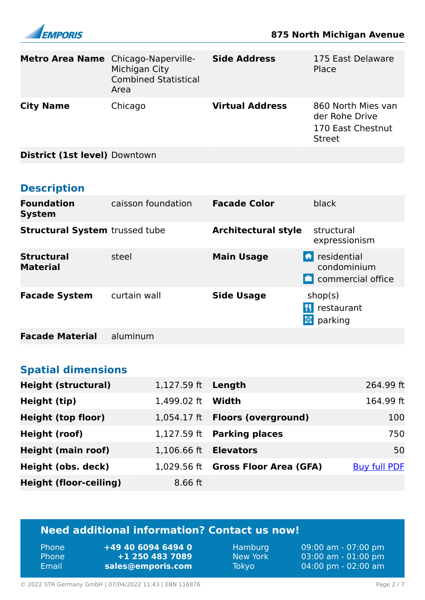

| Metro Area Name Chicago-Naperville-   | Michigan City<br><b>Combined Statistical</b><br>Area | <b>Side Address</b>        | 175 East Delaware<br>Place                                                 |
|---------------------------------------|------------------------------------------------------|----------------------------|----------------------------------------------------------------------------|
| <b>City Name</b>                      | Chicago                                              | <b>Virtual Address</b>     | 860 North Mies van<br>der Rohe Drive<br>170 East Chestnut<br><b>Street</b> |
| District (1st level) Downtown         |                                                      |                            |                                                                            |
|                                       |                                                      |                            |                                                                            |
| <b>Description</b>                    |                                                      |                            |                                                                            |
| <b>Foundation</b><br><b>System</b>    | caisson foundation                                   | <b>Facade Color</b>        | black                                                                      |
| <b>Structural System trussed tube</b> |                                                      | <b>Architectural style</b> | structural<br>expressionism                                                |
| <b>Structural</b><br><b>Material</b>  | steel                                                | <b>Main Usage</b>          | <b>T</b> residential<br>condominium<br>commercial office                   |
| <b>Facade System</b>                  | curtain wall                                         | <b>Side Usage</b>          | shop(s)<br><b>T</b> restaurant<br><b>D</b> parking                         |

**Facade Material** aluminum

### **Spatial dimensions**

| <b>Height (structural)</b>    | 1,127.59 ft <b>Length</b>    |                                    | 264.99 ft           |
|-------------------------------|------------------------------|------------------------------------|---------------------|
| Height (tip)                  | 1,499.02 ft                  | Width                              | 164.99 ft           |
| <b>Height (top floor)</b>     |                              | 1,054.17 ft Floors (overground)    | 100                 |
| Height (roof)                 |                              | $1,127.59$ ft Parking places       | 750                 |
| <b>Height (main roof)</b>     | 1,106.66 ft <b>Elevators</b> |                                    | 50                  |
| Height (obs. deck)            |                              | 1,029.56 ft Gross Floor Area (GFA) | <b>Buy full PDF</b> |
| <b>Height (floor-ceiling)</b> | $8.66$ ft                    |                                    |                     |

# **Need additional information? Contact us now!**

| <b>Phone</b> | $+49$ 40 6094 6494 0 |
|--------------|----------------------|
| Phone        | +1 250 483 7089      |
| Email        | sales@emporis.com    |

Hamburg 09:00 am - 07:00 pm<br>New York 03:00 am - 01:00 pm New York 03:00 am - 01:00 pm<br>Tokyo 04:00 pm - 02:00 am 04:00 pm - 02:00 am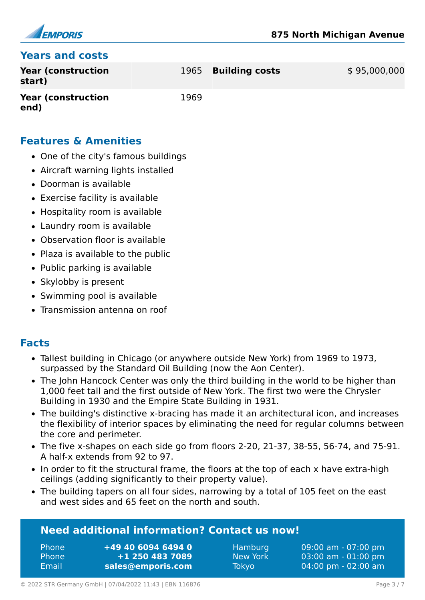

#### **Years and costs**

| Year (construction<br>start) |      | 1965 Building costs | \$95,000,000 |
|------------------------------|------|---------------------|--------------|
| Year (construction<br>end)   | 1969 |                     |              |

#### **Features & Amenities**

- One of the city's famous buildings
- Aircraft warning lights installed
- Doorman is available
- Exercise facility is available
- Hospitality room is available
- Laundry room is available
- Observation floor is available
- Plaza is available to the public
- Public parking is available
- Skylobby is present
- Swimming pool is available
- Transmission antenna on roof

#### **Facts**

- Tallest building in Chicago (or anywhere outside New York) from 1969 to 1973, surpassed by the Standard Oil Building (now the Aon Center).
- The John Hancock Center was only the third building in the world to be higher than 1,000 feet tall and the first outside of New York. The first two were the Chrysler Building in 1930 and the Empire State Building in 1931.
- The building's distinctive x-bracing has made it an architectural icon, and increases the flexibility of interior spaces by eliminating the need for regular columns between the core and perimeter.
- The five x-shapes on each side go from floors 2-20, 21-37, 38-55, 56-74, and 75-91. A half-x extends from 92 to 97.
- In order to fit the structural frame, the floors at the top of each x have extra-high ceilings (adding significantly to their property value).
- The building tapers on all four sides, narrowing by a total of 105 feet on the east and west sides and 65 feet on the north and south.

#### **Need additional information? Contact us now!**

Phone **+49 40 6094 6494 0** Phone **+1 250 483 7089** Email **<sales@emporis.com>**

Hamburg 09:00 am - 07:00 pm New York 03:00 am - 01:00 pm Tokyo 04:00 pm - 02:00 am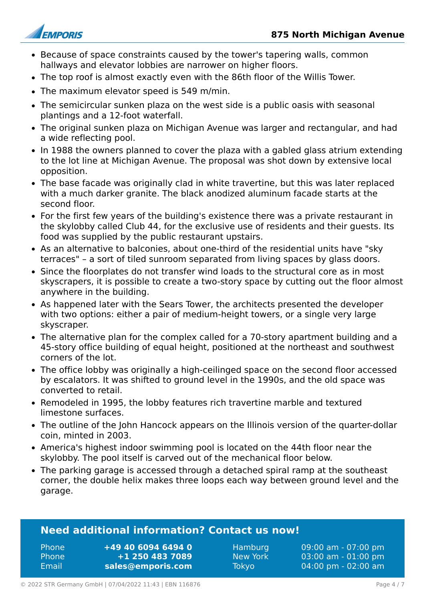



- Because of space constraints caused by the tower's tapering walls, common hallways and elevator lobbies are narrower on higher floors.
- The top roof is almost exactly even with the 86th floor of the Willis Tower.
- The maximum elevator speed is 549 m/min.
- The semicircular sunken plaza on the west side is a public oasis with seasonal plantings and a 12-foot waterfall.
- The original sunken plaza on Michigan Avenue was larger and rectangular, and had a wide reflecting pool.
- In 1988 the owners planned to cover the plaza with a gabled glass atrium extending to the lot line at Michigan Avenue. The proposal was shot down by extensive local opposition.
- The base facade was originally clad in white travertine, but this was later replaced with a much darker granite. The black anodized aluminum facade starts at the second floor.
- For the first few years of the building's existence there was a private restaurant in the skylobby called Club 44, for the exclusive use of residents and their guests. Its food was supplied by the public restaurant upstairs.
- As an alternative to balconies, about one-third of the residential units have "sky terraces" – a sort of tiled sunroom separated from living spaces by glass doors.
- Since the floorplates do not transfer wind loads to the structural core as in most skyscrapers, it is possible to create a two-story space by cutting out the floor almost anywhere in the building.
- As happened later with the Sears Tower, the architects presented the developer with two options: either a pair of medium-height towers, or a single very large skyscraper.
- The alternative plan for the complex called for a 70-story apartment building and a 45-story office building of equal height, positioned at the northeast and southwest corners of the lot.
- The office lobby was originally a high-ceilinged space on the second floor accessed by escalators. It was shifted to ground level in the 1990s, and the old space was converted to retail.
- Remodeled in 1995, the lobby features rich travertine marble and textured limestone surfaces.
- The outline of the John Hancock appears on the Illinois version of the quarter-dollar coin, minted in 2003.
- America's highest indoor swimming pool is located on the 44th floor near the skylobby. The pool itself is carved out of the mechanical floor below.
- The parking garage is accessed through a detached spiral ramp at the southeast corner, the double helix makes three loops each way between ground level and the garage.

#### **Need additional information? Contact us now!**

Phone **+49 40 6094 6494 0** Phone **+1 250 483 7089** Email **<sales@emporis.com>**

Hamburg 09:00 am - 07:00 pm New York 03:00 am - 01:00 pm Tokyo 04:00 pm - 02:00 am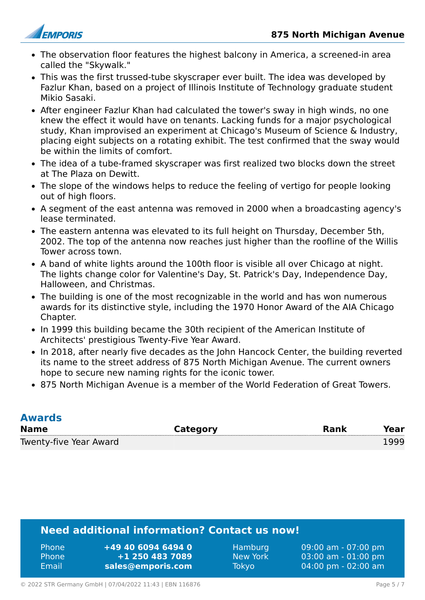

- The observation floor features the highest balcony in America, a screened-in area called the "Skywalk."
- This was the first trussed-tube skyscraper ever built. The idea was developed by Fazlur Khan, based on a project of Illinois Institute of Technology graduate student Mikio Sasaki.
- After engineer Fazlur Khan had calculated the tower's sway in high winds, no one knew the effect it would have on tenants. Lacking funds for a major psychological study, Khan improvised an experiment at Chicago's Museum of Science & Industry, placing eight subjects on a rotating exhibit. The test confirmed that the sway would be within the limits of comfort.
- The idea of a tube-framed skyscraper was first realized two blocks down the street at The Plaza on Dewitt.
- The slope of the windows helps to reduce the feeling of vertigo for people looking out of high floors.
- A segment of the east antenna was removed in 2000 when a broadcasting agency's lease terminated.
- The eastern antenna was elevated to its full height on Thursday, December 5th, 2002. The top of the antenna now reaches just higher than the roofline of the Willis Tower across town.
- A band of white lights around the 100th floor is visible all over Chicago at night. The lights change color for Valentine's Day, St. Patrick's Day, Independence Day, Halloween, and Christmas.
- The building is one of the most recognizable in the world and has won numerous awards for its distinctive style, including the 1970 Honor Award of the AIA Chicago Chapter.
- In 1999 this building became the 30th recipient of the American Institute of Architects' prestigious Twenty-Five Year Award.
- In 2018, after nearly five decades as the John Hancock Center, the building reverted its name to the street address of 875 North Michigan Avenue. The current owners hope to secure new naming rights for the iconic tower.
- 875 North Michigan Avenue is a member of the World Federation of Great Towers.

| <b>Awards</b>          |          |             |      |
|------------------------|----------|-------------|------|
| <b>Name</b>            | Category | <b>Rank</b> | Year |
| Twenty-five Year Award |          |             | 1999 |

#### **Need additional information? Contact us now!**

| +49 40 6094 6494 0 | 09:00 am - 07:00 pm                   |
|--------------------|---------------------------------------|
| <b>Phone</b>       | Hamburg <sup>1</sup>                  |
| $+1$ 250 483 7089  | $03:00$ am - $01:00$ pm               |
| <b>Phone</b>       | New York                              |
| sales@emporis.com  | $04:00 \text{ pm} - 02:00 \text{ am}$ |
| Email              | <b>Tokyo</b>                          |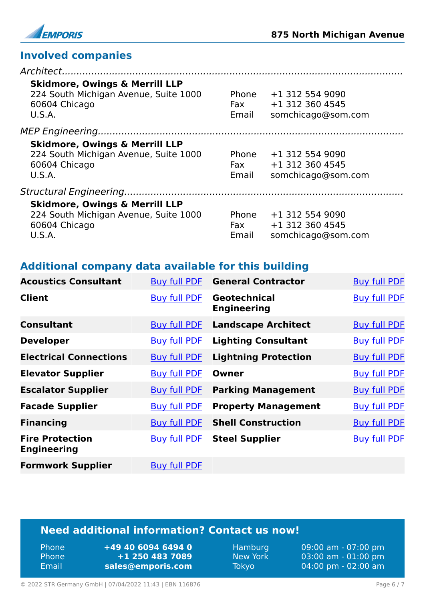

U.S.A.

Email somchicago@som.com

# **Involved companies**

| <b>Skidmore, Owings &amp; Merrill LLP</b><br>224 South Michigan Avenue, Suite 1000<br>60604 Chicago<br>U.S.A. | Phone<br>Fax<br>Email | +1 312 554 9090<br>+1 312 360 4545<br>somchicago@som.com |
|---------------------------------------------------------------------------------------------------------------|-----------------------|----------------------------------------------------------|
| <b>Skidmore, Owings &amp; Merrill LLP</b><br>224 South Michigan Avenue, Suite 1000<br>60604 Chicago<br>U.S.A. | Phone<br>Fax<br>Email | +1 312 554 9090<br>+1 312 360 4545<br>somchicago@som.com |
|                                                                                                               |                       |                                                          |
| <b>Skidmore, Owings &amp; Merrill LLP</b><br>224 South Michigan Avenue, Suite 1000<br>60604 Chicago           |                       | Phone +1 312 554 9090<br>Fax $+1$ 312 360 4545           |

### **Additional company data available for this building**

| <b>Acoustics Consultant</b>                  | <b>Buy full PDF</b> | <b>General Contractor</b>          | <b>Buy full PDF</b> |
|----------------------------------------------|---------------------|------------------------------------|---------------------|
| <b>Client</b>                                | <b>Buy full PDF</b> | Geotechnical<br><b>Engineering</b> | <b>Buy full PDF</b> |
| <b>Consultant</b>                            | <b>Buy full PDF</b> | <b>Landscape Architect</b>         | <b>Buy full PDF</b> |
| <b>Developer</b>                             | <b>Buy full PDF</b> | <b>Lighting Consultant</b>         | <b>Buy full PDF</b> |
| <b>Electrical Connections</b>                | <b>Buy full PDF</b> | <b>Lightning Protection</b>        | <b>Buy full PDF</b> |
| <b>Elevator Supplier</b>                     | <b>Buy full PDF</b> | Owner                              | <b>Buy full PDF</b> |
| <b>Escalator Supplier</b>                    | <b>Buy full PDF</b> | <b>Parking Management</b>          | <b>Buy full PDF</b> |
| <b>Facade Supplier</b>                       | <b>Buy full PDF</b> | <b>Property Management</b>         | <b>Buy full PDF</b> |
| <b>Financing</b>                             | <b>Buy full PDF</b> | <b>Shell Construction</b>          | <b>Buy full PDF</b> |
| <b>Fire Protection</b><br><b>Engineering</b> | <b>Buy full PDF</b> | <b>Steel Supplier</b>              | <b>Buy full PDF</b> |
| <b>Formwork Supplier</b>                     | <b>Buy full PDF</b> |                                    |                     |

#### **Need additional information? Contact us now!**

| Phone | $+494060$ |
|-------|-----------|
| Phone | $+1250$   |
| Email | sales@em  |

 $9464940$ Phone **+1 250 483 7089** Email **<sales@emporis.com>**

Hamburg 09:00 am - 07:00 pm<br>New York 03:00 am - 01:00 pm New York 03:00 am - 01:00 pm<br>Tokyo 04:00 pm - 02:00 am 04:00 pm - 02:00 am